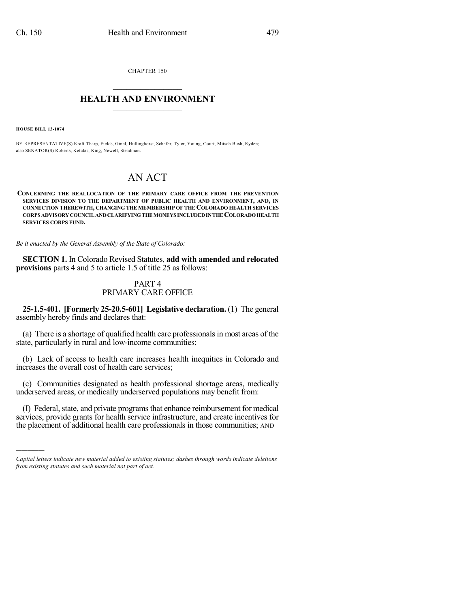CHAPTER 150  $\overline{\phantom{a}}$  . The set of the set of the set of the set of the set of the set of the set of the set of the set of the set of the set of the set of the set of the set of the set of the set of the set of the set of the set o

## **HEALTH AND ENVIRONMENT**  $\_$

**HOUSE BILL 13-1074**

)))))

BY REPRESENTATIVE(S) Kraft-Tharp, Fields, Ginal, Hullinghorst, Schafer, Tyler, Young, Court, Mitsch Bush, Ryden; also SENATOR(S) Roberts, Kefalas, King, Newell, Steadman.

# AN ACT

**CONCERNING THE REALLOCATION OF THE PRIMARY CARE OFFICE FROM THE PREVENTION SERVICES DIVISION TO THE DEPARTMENT OF PUBLIC HEALTH AND ENVIRONMENT, AND, IN CONNECTION THEREWITH, CHANGING THE MEMBERSHIP OF THE COLORADO HEALTH SERVICES CORPS ADVISORYCOUNCILANDCLARIFYINGTHE MONEYS INCLUDEDINTHE COLORADOHEALTH SERVICES CORPS FUND.**

*Be it enacted by the General Assembly of the State of Colorado:*

**SECTION 1.** In Colorado Revised Statutes, **add with amended and relocated provisions** parts 4 and 5 to article 1.5 of title 25 as follows:

## PART 4 PRIMARY CARE OFFICE

**25-1.5-401. [Formerly 25-20.5-601] Legislative declaration.** (1) The general assembly hereby finds and declares that:

(a) There is a shortage of qualified health care professionalsin most areas of the state, particularly in rural and low-income communities;

(b) Lack of access to health care increases health inequities in Colorado and increases the overall cost of health care services;

(c) Communities designated as health professional shortage areas, medically underserved areas, or medically underserved populations may benefit from:

(I) Federal, state, and private programs that enhance reimbursement for medical services, provide grants for health service infrastructure, and create incentives for the placement of additional health care professionals in those communities; AND

*Capital letters indicate new material added to existing statutes; dashes through words indicate deletions from existing statutes and such material not part of act.*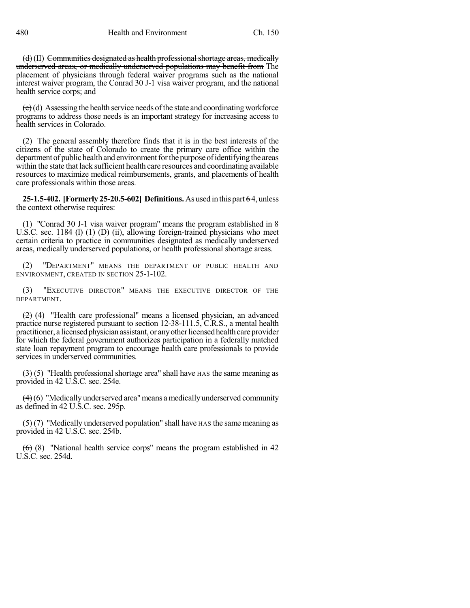$(d)$  (II) Communities designated as health professional shortage areas, medically underserved areas, or medically underserved populations may benefit from The placement of physicians through federal waiver programs such as the national interest waiver program, the Conrad 30 J-1 visa waiver program, and the national health service corps; and

 $(e)$ (d) Assessing the health service needs of the state and coordinating workforce programs to address those needs is an important strategy for increasing access to health services in Colorado.

(2) The general assembly therefore finds that it is in the best interests of the citizens of the state of Colorado to create the primary care office within the department of public health and environment for the purpose of identifying the areas within the state that lack sufficient health care resources and coordinating available resources to maximize medical reimbursements, grants, and placements of health care professionals within those areas.

**25-1.5-402. [Formerly 25-20.5-602] Definitions.**As used in this part 6 4, unless the context otherwise requires:

(1) "Conrad 30 J-1 visa waiver program" means the program established in 8 U.S.C. sec. 1184 (l) (1) (D) (ii), allowing foreign-trained physicians who meet certain criteria to practice in communities designated as medically underserved areas, medically underserved populations, or health professional shortage areas.

(2) "DEPARTMENT" MEANS THE DEPARTMENT OF PUBLIC HEALTH AND ENVIRONMENT, CREATED IN SECTION 25-1-102.

(3) "EXECUTIVE DIRECTOR" MEANS THE EXECUTIVE DIRECTOR OF THE DEPARTMENT.

(2) (4) "Health care professional" means a licensed physician, an advanced practice nurse registered pursuant to section 12-38-111.5, C.R.S., a mental health practitioner, a licensed physician assistant, or any other licensed health care provider for which the federal government authorizes participation in a federally matched state loan repayment program to encourage health care professionals to provide services in underserved communities.

 $(3)$  (5) "Health professional shortage area" shall have HAS the same meaning as provided in 42 U.S.C. sec. 254e.

 $(4)(6)$  "Medically underserved area" means a medically underserved community as defined in 42 U.S.C. sec. 295p.

 $(5)$  (7) "Medically underserved population" shall have HAS the same meaning as provided in 42 U.S.C. sec. 254b.

 $(6)$  (8) "National health service corps" means the program established in 42 U.S.C. sec. 254d.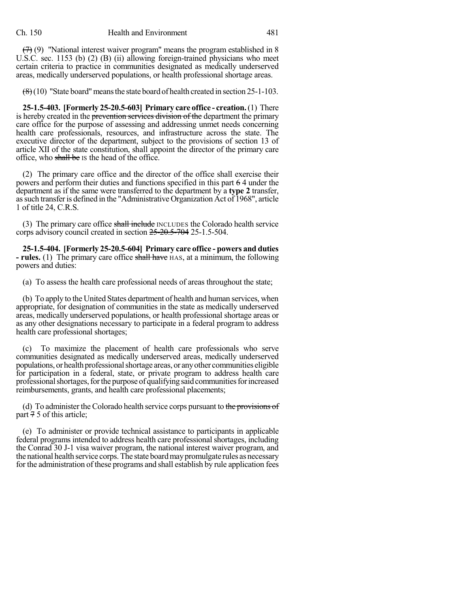$(7)$  (9) "National interest waiver program" means the program established in 8 U.S.C. sec. 1153 (b) (2) (B) (ii) allowing foreign-trained physicians who meet certain criteria to practice in communities designated as medically underserved areas, medically underserved populations, or health professional shortage areas.

 $(8)(10)$  "State board" means the state board of health created in section 25-1-103.

**25-1.5-403. [Formerly 25-20.5-603] Primary care office - creation.**(1) There is hereby created in the prevention services division of the department the primary care office for the purpose of assessing and addressing unmet needs concerning health care professionals, resources, and infrastructure across the state. The executive director of the department, subject to the provisions of section 13 of article XII of the state constitution, shall appoint the director of the primary care office, who shall be IS the head of the office.

(2) The primary care office and the director of the office shall exercise their powers and perform their duties and functions specified in this part 6 4 under the department as if the same were transferred to the department by a **type 2** transfer, assuch transferis defined in the "Administrative Organization Act of 1968", article 1 of title 24, C.R.S.

(3) The primary care office shall include INCLUDES the Colorado health service corps advisory council created in section 25-20.5-704 25-1.5-504.

**25-1.5-404. [Formerly 25-20.5-604] Primary care office - powers and duties - rules.** (1) The primary care office shall have HAS, at a minimum, the following powers and duties:

(a) To assess the health care professional needs of areas throughout the state;

(b) To apply to the United States department of health and human services, when appropriate, for designation of communities in the state as medically underserved areas, medically underserved populations, or health professional shortage areas or as any other designations necessary to participate in a federal program to address health care professional shortages;

To maximize the placement of health care professionals who serve communities designated as medically underserved areas, medically underserved populations, or health professional shortage areas, or any other communities eligible for participation in a federal, state, or private program to address health care professional shortages, for the purpose of qualifying said communities for increased reimbursements, grants, and health care professional placements;

(d) To administer the Colorado health service corps pursuant to the provisions of part 7 5 of this article;

(e) To administer or provide technical assistance to participants in applicable federal programs intended to address health care professional shortages, including the Conrad 30 J-1 visa waiver program, the national interest waiver program, and the national health service corps.The state boardmaypromulgate rules as necessary for the administration of these programs and shall establish by rule application fees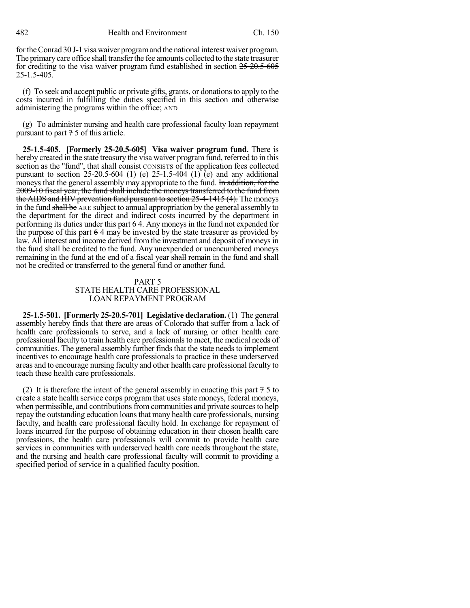fortheConrad 30 J-1 visawaiver programand the national interest waiver program. The primarycare office shall transferthe fee amounts collected to the state treasurer for crediting to the visa waiver program fund established in section 25-20.5-605 25-1.5-405.

(f) To seek and accept public or private gifts, grants, or donationsto apply to the costs incurred in fulfilling the duties specified in this section and otherwise administering the programs within the office; AND

(g) To administer nursing and health care professional faculty loan repayment pursuant to part 7 5 of this article.

**25-1.5-405. [Formerly 25-20.5-605] Visa waiver program fund.** There is hereby created in the state treasury the visa waiver program fund, referred to in this section as the "fund", that shall consist CONSISTS of the application fees collected pursuant to section  $25{\text -}20.5{\text -}604$  (1) (e) 25-1.5-404 (1) (e) and any additional moneys that the general assembly may appropriate to the fund. In addition, for the 2009-10 fiscal year, the fund shall include the moneys transferred to the fund from the AIDS and HIV prevention fund pursuant to section 25-4-1415 (4). The moneys in the fund shall be ARE subject to annual appropriation by the general assembly to the department for the direct and indirect costs incurred by the department in performing its duties under this part 6 4. Any moneys in the fund not expended for the purpose of this part 6 4 may be invested by the state treasurer as provided by law. All interest and income derived from the investment and deposit of moneysin the fund shall be credited to the fund. Any unexpended or unencumbered moneys remaining in the fund at the end of a fiscal year shall remain in the fund and shall not be credited or transferred to the general fund or another fund.

### PART 5 STATE HEALTH CARE PROFESSIONAL LOAN REPAYMENT PROGRAM

**25-1.5-501. [Formerly 25-20.5-701] Legislative declaration.** (1) The general assembly hereby finds that there are areas of Colorado that suffer from a lack of health care professionals to serve, and a lack of nursing or other health care professional faculty to train health care professionals to meet, the medical needs of communities. The general assembly further finds that the state needs to implement incentives to encourage health care professionals to practice in these underserved areas and to encourage nursing faculty and other health care professional faculty to teach these health care professionals.

(2) It is therefore the intent of the general assembly in enacting this part  $75$  to create a state health service corps program that uses state moneys, federal moneys, when permissible, and contributions from communities and private sources to help repay the outstanding education loans that many health care professionals, nursing faculty, and health care professional faculty hold. In exchange for repayment of loans incurred for the purpose of obtaining education in their chosen health care professions, the health care professionals will commit to provide health care services in communities with underserved health care needs throughout the state, and the nursing and health care professional faculty will commit to providing a specified period of service in a qualified faculty position.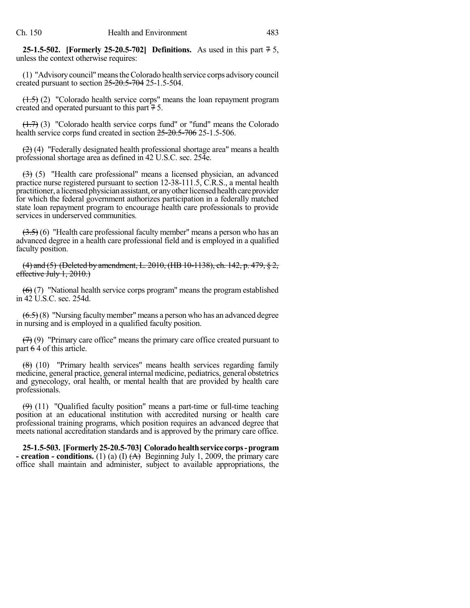**25-1.5-502. [Formerly 25-20.5-702] Definitions.** As used in this part 7 5, unless the context otherwise requires:

(1) "Advisorycouncil"meanstheColorado health service corps advisorycouncil created pursuant to section  $25-20.5-704$  25-1.5-504.

(1.5) (2) "Colorado health service corps" means the loan repayment program created and operated pursuant to this part  $\frac{7}{7}$  5.

 $(1.7)$  (3) "Colorado health service corps fund" or "fund" means the Colorado health service corps fund created in section 25-20.5-706 25-1.5-506.

 $(2)$  (4) "Federally designated health professional shortage area" means a health professional shortage area as defined in 42 U.S.C. sec. 254e.

(3) (5) "Health care professional" means a licensed physician, an advanced practice nurse registered pursuant to section 12-38-111.5, C.R.S., a mental health practitioner, a licensed physician assistant, or any other licensed health care provider for which the federal government authorizes participation in a federally matched state loan repayment program to encourage health care professionals to provide services in underserved communities.

 $(3.5)$  (6) "Health care professional faculty member" means a person who has an advanced degree in a health care professional field and is employed in a qualified faculty position.

(4) and (5) (Deleted by amendment, L. 2010, (HB 10-1138), ch. 142, p. 479, § 2, effective July  $1, 2010$ .)

 $(6)$  (7) "National health service corps program" means the program established in 42 U.S.C. sec. 254d.

 $(6.5)(8)$  "Nursing faculty member" means a person who has an advanced degree in nursing and is employed in a qualified faculty position.

 $(7)$  (9) "Primary care office" means the primary care office created pursuant to part 6 4 of this article.

(8) (10) "Primary health services" means health services regarding family medicine, general practice, general internal medicine, pediatrics, general obstetrics and gynecology, oral health, or mental health that are provided by health care professionals.

 $(9)$  (11) "Qualified faculty position" means a part-time or full-time teaching position at an educational institution with accredited nursing or health care professional training programs, which position requires an advanced degree that meets national accreditation standards and is approved by the primary care office.

**25-1.5-503. [Formerly25-20.5-703] Coloradohealthservice corps-program - creation - conditions.** (1) (a) (I)  $(A)$  Beginning July 1, 2009, the primary care office shall maintain and administer, subject to available appropriations, the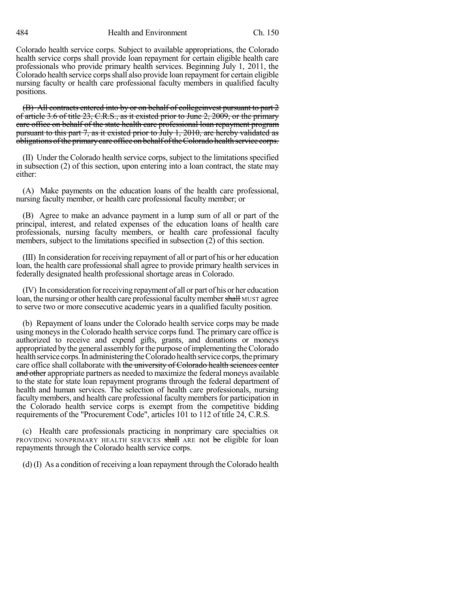484 Health and Environment Ch. 150

Colorado health service corps. Subject to available appropriations, the Colorado health service corps shall provide loan repayment for certain eligible health care professionals who provide primary health services. Beginning July 1, 2011, the Colorado health service corps shall also provide loan repayment for certain eligible nursing faculty or health care professional faculty members in qualified faculty positions.

(B) All contracts entered into by or on behalf of collegeinvest pursuant to part 2 of article 3.6 of title 23, C.R.S., as it existed prior to June 2, 2009, or the primary care office on behalf of the state health care professional loan repayment program pursuant to this part 7, as it existed prior to July 1, 2010, are hereby validated as obligations ofthe primarycare office onbehalf oftheColoradohealthservice corps.

(II) Under the Colorado health service corps, subject to the limitationsspecified in subsection (2) of this section, upon entering into a loan contract, the state may either:

(A) Make payments on the education loans of the health care professional, nursing faculty member, or health care professional faculty member; or

(B) Agree to make an advance payment in a lump sum of all or part of the principal, interest, and related expenses of the education loans of health care professionals, nursing faculty members, or health care professional faculty members, subject to the limitations specified in subsection (2) of this section.

(III) In consideration forreceiving repayment of all or part of his or her education loan, the health care professional shall agree to provide primary health services in federally designated health professional shortage areas in Colorado.

(IV) In consideration forreceiving repayment of all or part of his or her education loan, the nursing or other health care professional faculty member shall MUST agree to serve two or more consecutive academic years in a qualified faculty position.

(b) Repayment of loans under the Colorado health service corps may be made using moneys in the Colorado health service corps fund. The primary care office is authorized to receive and expend gifts, grants, and donations or moneys appropriated by the general assembly for the purpose of implementing the Colorado health service corps. In administering the Colorado health service corps, the primary care office shall collaborate with the university of Colorado health sciences center and other appropriate partners as needed to maximize the federal moneys available to the state for state loan repayment programs through the federal department of health and human services. The selection of health care professionals, nursing faculty members, and health care professional faculty members for participation in the Colorado health service corps is exempt from the competitive bidding requirements of the "Procurement Code", articles 101 to 112 of title 24, C.R.S.

(c) Health care professionals practicing in nonprimary care specialties OR PROVIDING NONPRIMARY HEALTH SERVICES shall ARE not be eligible for loan repayments through the Colorado health service corps.

(d) (I) As a condition of receiving a loan repayment through the Colorado health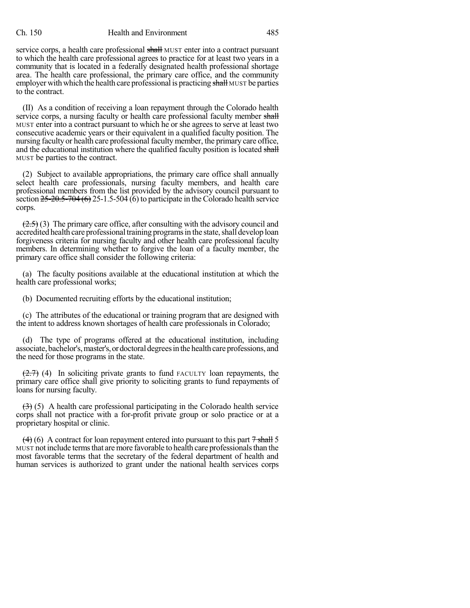#### Ch. 150 Health and Environment 485

service corps, a health care professional shall MUST enter into a contract pursuant to which the health care professional agrees to practice for at least two years in a community that is located in a federally designated health professional shortage area. The health care professional, the primary care office, and the community employer with which the health care professional is practicing shall MUST be parties to the contract.

(II) As a condition of receiving a loan repayment through the Colorado health service corps, a nursing faculty or health care professional faculty member shall MUST enter into a contract pursuant to which he or she agrees to serve at least two consecutive academic years or their equivalent in a qualified faculty position. The nursing faculty or health care professional faculty member, the primary care office, and the educational institution where the qualified faculty position is located shall MUST be parties to the contract.

(2) Subject to available appropriations, the primary care office shall annually select health care professionals, nursing faculty members, and health care professional members from the list provided by the advisory council pursuant to section  $25-20.5-704(6)$  25-1.5-504 (6) to participate in the Colorado health service corps.

 $(2.5)$  (3) The primary care office, after consulting with the advisory council and accredited health care professional training programs in the state, shall develop loan forgiveness criteria for nursing faculty and other health care professional faculty members. In determining whether to forgive the loan of a faculty member, the primary care office shall consider the following criteria:

(a) The faculty positions available at the educational institution at which the health care professional works;

(b) Documented recruiting efforts by the educational institution;

(c) The attributes of the educational or training program that are designed with the intent to address known shortages of health care professionals in Colorado;

(d) The type of programs offered at the educational institution, including associate, bachelor's, master's, or doctoral degrees in the health care professions, and the need for those programs in the state.

 $(2.7)$  (4) In soliciting private grants to fund FACULTY loan repayments, the primary care office shall give priority to soliciting grants to fund repayments of loans for nursing faculty.

 $(3)$  (5) A health care professional participating in the Colorado health service corps shall not practice with a for-profit private group or solo practice or at a proprietary hospital or clinic.

 $(4)$  (6) A contract for loan repayment entered into pursuant to this part  $7$  shall 5 MUST not include termsthat are more favorable to health care professionalsthan the most favorable terms that the secretary of the federal department of health and human services is authorized to grant under the national health services corps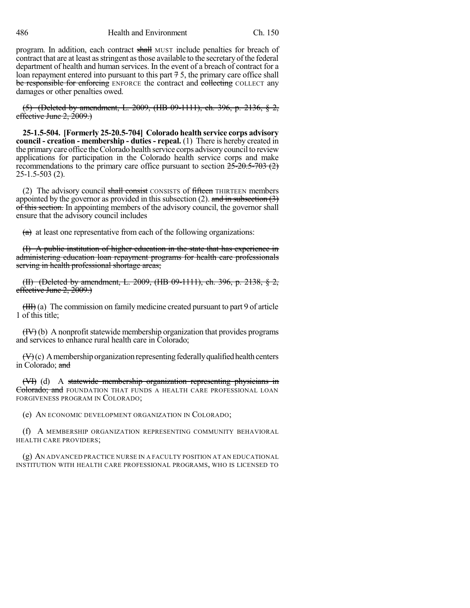486 Health and Environment Ch. 150

program. In addition, each contract shall MUST include penalties for breach of contract that are at least as stringent as those available to the secretary of the federal department of health and human services. In the event of a breach of contract for a loan repayment entered into pursuant to this part  $\frac{3}{7}$ , the primary care office shall be responsible for enforcing ENFORCE the contract and collecting COLLECT any damages or other penalties owed.

(5) (Deleted by amendment, L. 2009, (HB 09-1111), ch. 396, p. 2136, § 2, effective June 2, 2009.)

**25-1.5-504. [Formerly 25-20.5-704] Colorado health service corps advisory council - creation - membership - duties - repeal.** (1) There is hereby created in the primarycare office theColorado health service corps advisorycouncil to review applications for participation in the Colorado health service corps and make recommendations to the primary care office pursuant to section  $25{\text -}20.5{\text -}703$  (2) 25-1.5-503 (2).

(2) The advisory council shall consist CONSISTS of fifteen THIRTEEN members appointed by the governor as provided in this subsection (2). and in subsection  $(3)$ of this section. In appointing members of the advisory council, the governor shall ensure that the advisory council includes

 $(a)$  at least one representative from each of the following organizations:

(I) A public institution of higher education in the state that has experience in administering education loan repayment programs for health care professionals serving in health professional shortage areas;

(II) (Deleted by amendment, L. 2009, (HB 09-1111), ch. 396, p. 2138, § 2, effective June 2, 2009.)

(III) (a) The commission on family medicine created pursuant to part 9 of article 1 of this title;

 $(HV)$  (b) A nonprofit statewide membership organization that provides programs and services to enhance rural health care in Colorado;

 $(\forall \theta)$ (c) A membership organization representing federally qualified health centers in Colorado; and

(VI) (d) A statewide membership organization representing physicians in Colorado; and FOUNDATION THAT FUNDS A HEALTH CARE PROFESSIONAL LOAN FORGIVENESS PROGRAM IN COLORADO;

(e) AN ECONOMIC DEVELOPMENT ORGANIZATION IN COLORADO;

(f) A MEMBERSHIP ORGANIZATION REPRESENTING COMMUNITY BEHAVIORAL HEALTH CARE PROVIDERS;

(g) AN ADVANCED PRACTICE NURSE IN A FACULTY POSITION AT AN EDUCATIONAL INSTITUTION WITH HEALTH CARE PROFESSIONAL PROGRAMS, WHO IS LICENSED TO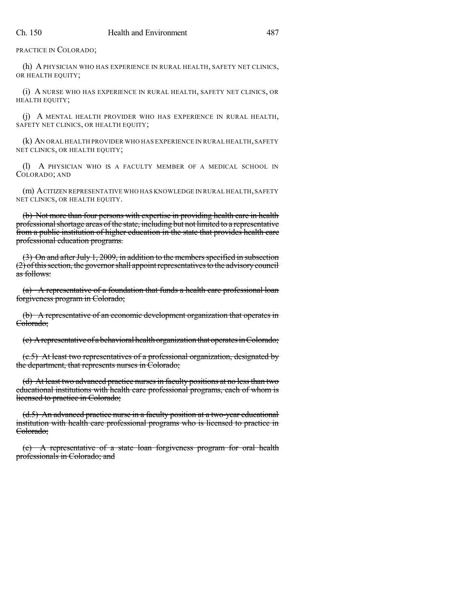PRACTICE IN COLORADO;

(h) A PHYSICIAN WHO HAS EXPERIENCE IN RURAL HEALTH, SAFETY NET CLINICS, OR HEALTH EQUITY;

(i) A NURSE WHO HAS EXPERIENCE IN RURAL HEALTH, SAFETY NET CLINICS, OR HEALTH EQUITY;

(j) A MENTAL HEALTH PROVIDER WHO HAS EXPERIENCE IN RURAL HEALTH, SAFETY NET CLINICS, OR HEALTH EQUITY;

(k) AN ORAL HEALTH PROVIDER WHO HAS EXPERIENCE IN RURAL HEALTH,SAFETY NET CLINICS, OR HEALTH EQUITY;

(l) A PHYSICIAN WHO IS A FACULTY MEMBER OF A MEDICAL SCHOOL IN COLORADO; AND

(m) ACITIZEN REPRESENTATIVE WHO HAS KNOWLEDGE IN RURAL HEALTH,SAFETY NET CLINICS, OR HEALTH EQUITY.

(b) Not more than four persons with expertise in providing health care in health professional shortage areas of the state, including but not limited to a representative from a public institution of higher education in the state that provides health care professional education programs.

 $(3)$  On and after July 1, 2009, in addition to the members specified in subsection  $(2)$  of this section, the governor shall appoint representatives to the advisory council as follows:

(a) A representative of a foundation that funds a health care professional loan forgiveness program in Colorado;

(b) A representative of an economic development organization that operates in Colorado;

 $(c)$  A representative of a behavioral health organization that operates in Colorado;

(c.5) At least two representatives of a professional organization, designated by the department, that represents nurses in Colorado;

(d) At least two advanced practice nurses in faculty positions at no less than two educational institutions with health care professional programs, each of whom is licensed to practice in Colorado;

(d.5) An advanced practice nurse in a faculty position at a two-year educational institution with health care professional programs who is licensed to practice in Colorado;

(e) A representative of a state loan forgiveness program for oral health professionals in Colorado; and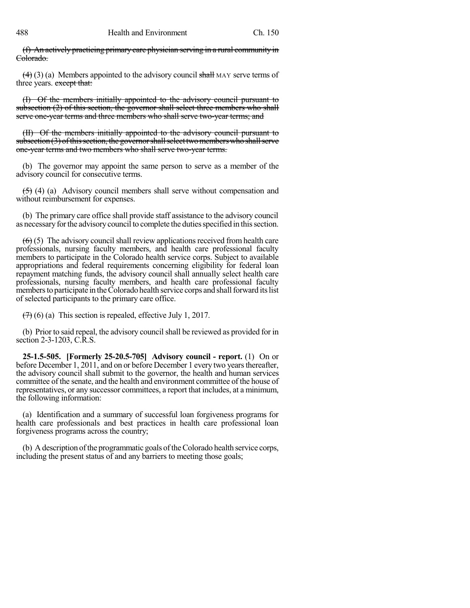(f) An actively practicing primary care physician serving in a rural community in Colorado.

 $(4)$  (3) (a) Members appointed to the advisory council shall MAY serve terms of three years. except that:

(I) Of the members initially appointed to the advisory council pursuant to subsection (2) of this section, the governor shall select three members who shall serve one-year terms and three members who shall serve two-year terms; and

(II) Of the members initially appointed to the advisory council pursuant to subsection  $(3)$  of this section, the governor shall select two members who shall serve one-year terms and two members who shall serve two-year terms.

(b) The governor may appoint the same person to serve as a member of the advisory council for consecutive terms.

(5) (4) (a) Advisory council members shall serve without compensation and without reimbursement for expenses.

(b) The primary care office shall provide staff assistance to the advisory council as necessary for the advisory council to complete the duties specified in this section.

 $(6)$  (5) The advisory council shall review applications received from health care professionals, nursing faculty members, and health care professional faculty members to participate in the Colorado health service corps. Subject to available appropriations and federal requirements concerning eligibility for federal loan repayment matching funds, the advisory council shall annually select health care professionals, nursing faculty members, and health care professional faculty members to participate in the Colorado health service corps and shall forward its list of selected participants to the primary care office.

 $(7)$  (6) (a) This section is repealed, effective July 1, 2017.

(b) Prior to said repeal, the advisory council shall be reviewed as provided for in section 2-3-1203, C.R.S.

**25-1.5-505. [Formerly 25-20.5-705] Advisory council - report.** (1) On or before December 1, 2011, and on or before December 1 every two years thereafter, the advisory council shall submit to the governor, the health and human services committee of the senate, and the health and environment committee of the house of representatives, or any successor committees, a report that includes, at a minimum, the following information:

(a) Identification and a summary of successful loan forgiveness programs for health care professionals and best practices in health care professional loan forgiveness programs across the country;

(b) A description of the programmatic goals of the Colorado health service corps, including the present status of and any barriers to meeting those goals;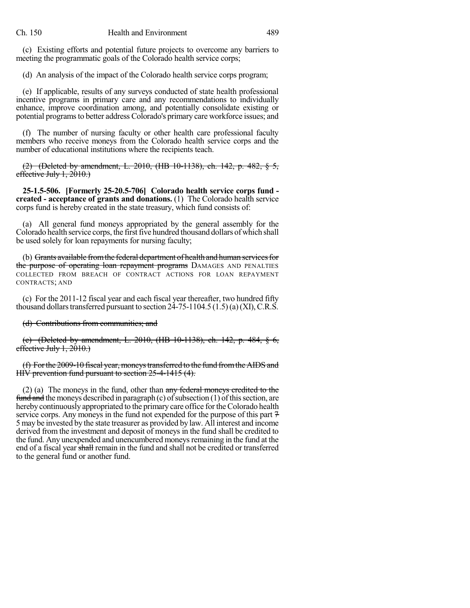(c) Existing efforts and potential future projects to overcome any barriers to meeting the programmatic goals of the Colorado health service corps;

(d) An analysis of the impact of the Colorado health service corps program;

(e) If applicable, results of any surveys conducted of state health professional incentive programs in primary care and any recommendations to individually enhance, improve coordination among, and potentially consolidate existing or potential programs to better address Colorado's primary care workforce issues; and

(f) The number of nursing faculty or other health care professional faculty members who receive moneys from the Colorado health service corps and the number of educational institutions where the recipients teach.

(2) (Deleted by amendment, L. 2010, (HB 10-1138), ch. 142, p. 482, § 5, effective July  $1, 2010$ .

**25-1.5-506. [Formerly 25-20.5-706] Colorado health service corps fund created - acceptance of grants and donations.** (1) The Colorado health service corps fund is hereby created in the state treasury, which fund consists of:

(a) All general fund moneys appropriated by the general assembly for the Colorado health service corps, the first five hundred thousand dollars of which shall be used solely for loan repayments for nursing faculty;

(b) Grants available from the federal department of health and human services for the purpose of operating loan repayment programs DAMAGES AND PENALTIES COLLECTED FROM BREACH OF CONTRACT ACTIONS FOR LOAN REPAYMENT CONTRACTS; AND

(c) For the 2011-12 fiscal year and each fiscal year thereafter, two hundred fifty thousand dollars transferred pursuant to section  $24-75-1104.5$  (1.5)(a)(XI), C.R.S.

#### (d) Contributions from communities; and

(e) (Deleted by amendment, L. 2010, (HB 10-1138), ch. 142, p. 484, § 6, effective July  $1, 2010$ .)

(f) Forthe 2009-10 fiscal year,moneystransferred to the fund fromtheAIDS and HIV prevention fund pursuant to section 25-4-1415 (4).

(2) (a) The moneys in the fund, other than any federal moneys credited to the  $fund$  and the moneys described in paragraph (c) of subsection (1) of this section, are hereby continuously appropriated to the primary care office for the Colorado health service corps. Any moneys in the fund not expended for the purpose of this part  $7$ 5 may be invested by the state treasurer as provided by law. All interest and income derived from the investment and deposit of moneys in the fund shall be credited to the fund. Any unexpended and unencumbered moneys remaining in the fund at the end of a fiscal year shall remain in the fund and shall not be credited or transferred to the general fund or another fund.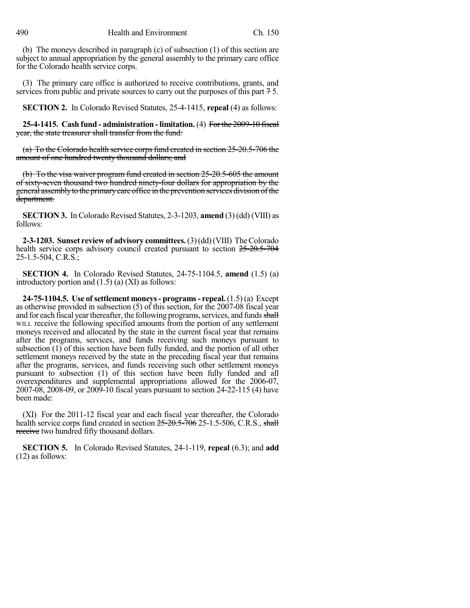(b) The moneys described in paragraph (c) of subsection (1) of this section are subject to annual appropriation by the general assembly to the primary care office for the Colorado health service corps.

(3) The primary care office is authorized to receive contributions, grants, and services from public and private sources to carry out the purposes of this part  $7.5$ .

**SECTION 2.** In Colorado Revised Statutes, 25-4-1415, **repeal** (4) as follows:

**25-4-1415. Cash fund - administration - limitation.** (4) For the 2009-10 fiscal year, the state treasurer shall transfer from the fund:

 $(a)$  To the Colorado health service corps fund created in section 25-20.5-706 the amount of one hundred twenty thousand dollars; and

(b) To the visa waiver program fund created in section 25-20.5-605 the amount of sixty-seven thousand two hundred ninety-four dollars for appropriation by the general assemblyto the primarycare office in the prevention services division ofthe department.

**SECTION 3.** In Colorado Revised Statutes, 2-3-1203, **amend** (3) (dd) (VIII) as follows:

**2-3-1203. Sunset review of advisory committees.**(3)(dd)(VIII) TheColorado health service corps advisory council created pursuant to section  $25{\text -}20.5{\text -}704$ 25-1.5-504, C.R.S.;

**SECTION 4.** In Colorado Revised Statutes, 24-75-1104.5, **amend** (1.5) (a) introductory portion and (1.5) (a) (XI) as follows:

**24-75-1104.5. Use of settlement moneys- programs- repeal.** (1.5) (a) Except as otherwise provided in subsection (5) of this section, for the 2007-08 fiscal year and for each fiscal year thereafter, the following programs, services, and funds shall WILL receive the following specified amounts from the portion of any settlement moneys received and allocated by the state in the current fiscal year that remains after the programs, services, and funds receiving such moneys pursuant to subsection (1) of this section have been fully funded, and the portion of all other settlement moneys received by the state in the preceding fiscal year that remains after the programs, services, and funds receiving such other settlement moneys pursuant to subsection (1) of this section have been fully funded and all overexpenditures and supplemental appropriations allowed for the 2006-07, 2007-08, 2008-09, or 2009-10 fiscal years pursuant to section 24-22-115 (4) have been made:

(XI) For the 2011-12 fiscal year and each fiscal year thereafter, the Colorado health service corps fund created in section  $25{\text -}20{\text -}5{\text -}706$  25-1.5-506, C.R.S., shall receive two hundred fifty thousand dollars.

**SECTION 5.** In Colorado Revised Statutes, 24-1-119, **repeal** (6.3); and **add** (12) as follows: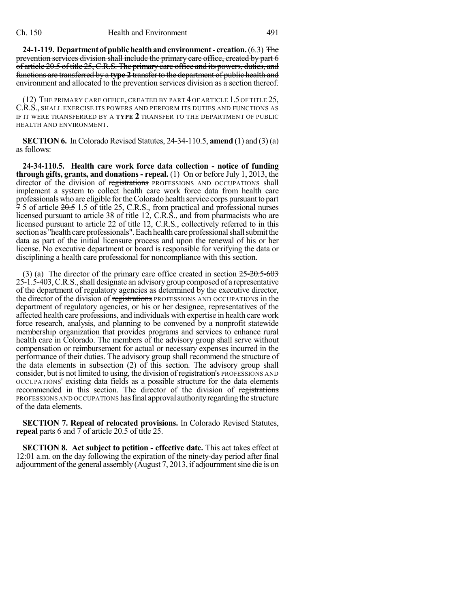**24-1-119.** Department of public health and environment - creation. (6.3) The prevention services division shall include the primary care office, created by part 6 of article 20.5 of title 25, C.R.S. The primary care office and its powers, duties, and functions are transferred by a **type 2** transferto the department of public health and environment and allocated to the prevention services division as a section thereof.

(12) THE PRIMARY CARE OFFICE, CREATED BY PART 4 OF ARTICLE 1.5 OF TITLE 25, C.R.S., SHALL EXERCISE ITS POWERS AND PERFORM ITS DUTIES AND FUNCTIONS AS IF IT WERE TRANSFERRED BY A **TYPE 2** TRANSFER TO THE DEPARTMENT OF PUBLIC HEALTH AND ENVIRONMENT.

**SECTION 6.** In Colorado Revised Statutes, 24-34-110.5, **amend** (1) and (3) (a) as follows:

**24-34-110.5. Health care work force data collection - notice of funding through gifts, grants, and donations - repeal.** (1) On or before July 1, 2013, the director of the division of registrations PROFESSIONS AND OCCUPATIONS shall implement a system to collect health care work force data from health care professionals who are eligible fortheColorado health service corps pursuant to part  $\overline{7}$  5 of article  $20.5$  1.5 of title 25, C.R.S., from practical and professional nurses licensed pursuant to article 38 of title 12, C.R.S., and from pharmacists who are licensed pursuant to article 22 of title 12, C.R.S., collectively referred to in this section as "health care professionals". Each health care professional shall submit the data as part of the initial licensure process and upon the renewal of his or her license. No executive department or board is responsible for verifying the data or disciplining a health care professional for noncompliance with this section.

(3) (a) The director of the primary care office created in section  $25{\text -}20.5{\text -}603$ 25-1.5-403,C.R.S.,shall designate an advisorygroup composed of a representative of the department of regulatory agencies as determined by the executive director, the director of the division of registrations PROFESSIONS AND OCCUPATIONS in the department of regulatory agencies, or his or her designee, representatives of the affected health care professions, and individuals with expertise in health care work force research, analysis, and planning to be convened by a nonprofit statewide membership organization that provides programs and services to enhance rural health care in Colorado. The members of the advisory group shall serve without compensation or reimbursement for actual or necessary expenses incurred in the performance of their duties. The advisory group shall recommend the structure of the data elements in subsection (2) of this section. The advisory group shall consider, but is not limited to using, the division of registration's PROFESSIONS AND OCCUPATIONS' existing data fields as a possible structure for the data elements recommended in this section. The director of the division of registrations PROFESSIONS AND OCCUPATIONS has final approval authority regarding the structure of the data elements.

**SECTION 7. Repeal of relocated provisions.** In Colorado Revised Statutes, **repeal** parts 6 and 7 of article 20.5 of title 25.

**SECTION 8. Act subject to petition - effective date.** This act takes effect at 12:01 a.m. on the day following the expiration of the ninety-day period after final adjournment of the general assembly  $(August 7, 2013, if adjourment sine die is on$